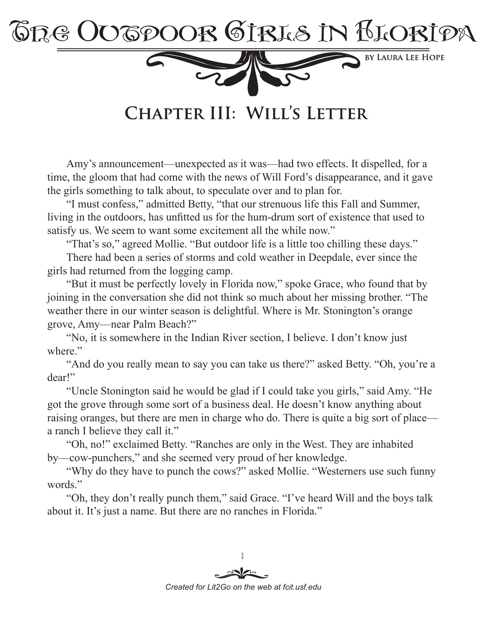

CHAPTER III: WILL'S LETTER

Amy's announcement—unexpected as it was—had two effects. It dispelled, for a time, the gloom that had come with the news of Will Ford's disappearance, and it gave the girls something to talk about, to speculate over and to plan for.

"I must confess," admitted Betty, "that our strenuous life this Fall and Summer, living in the outdoors, has unfitted us for the hum-drum sort of existence that used to satisfy us. We seem to want some excitement all the while now."

"That's so," agreed Mollie. "But outdoor life is a little too chilling these days."

There had been a series of storms and cold weather in Deepdale, ever since the girls had returned from the logging camp.

"But it must be perfectly lovely in Florida now," spoke Grace, who found that by joining in the conversation she did not think so much about her missing brother. "The weather there in our winter season is delightful. Where is Mr. Stonington's orange grove, Amy—near Palm Beach?"

"No, it is somewhere in the Indian River section, I believe. I don't know just where."

"And do you really mean to say you can take us there?" asked Betty. "Oh, you're a dear!"

"Uncle Stonington said he would be glad if I could take you girls," said Amy. "He got the grove through some sort of a business deal. He doesn't know anything about raising oranges, but there are men in charge who do. There is quite a big sort of place a ranch I believe they call it."

"Oh, no!" exclaimed Betty. "Ranches are only in the West. They are inhabited by—cow-punchers," and she seemed very proud of her knowledge.

"Why do they have to punch the cows?" asked Mollie. "Westerners use such funny words."

"Oh, they don't really punch them," said Grace. "I've heard Will and the boys talk about it. It's just a name. But there are no ranches in Florida."

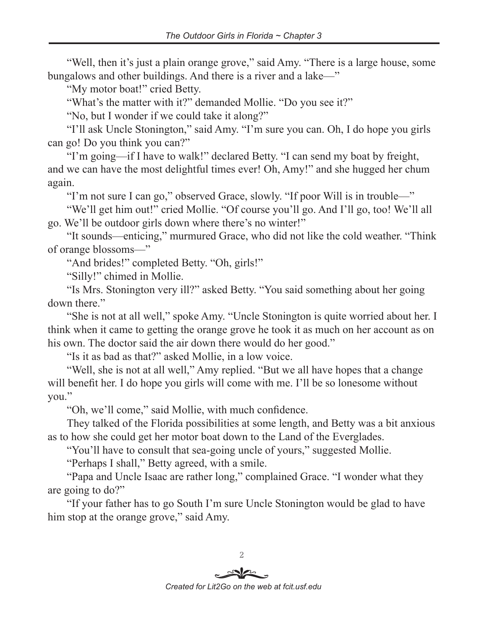"Well, then it's just a plain orange grove," said Amy. "There is a large house, some bungalows and other buildings. And there is a river and a lake—"

"My motor boat!" cried Betty.

"What's the matter with it?" demanded Mollie. "Do you see it?"

"No, but I wonder if we could take it along?"

"I'll ask Uncle Stonington," said Amy. "I'm sure you can. Oh, I do hope you girls can go! Do you think you can?"

"I'm going—if I have to walk!" declared Betty. "I can send my boat by freight, and we can have the most delightful times ever! Oh, Amy!" and she hugged her chum again.

"I'm not sure I can go," observed Grace, slowly. "If poor Will is in trouble—"

"We'll get him out!" cried Mollie. "Of course you'll go. And I'll go, too! We'll all go. We'll be outdoor girls down where there's no winter!"

"It sounds—enticing," murmured Grace, who did not like the cold weather. "Think of orange blossoms—"

"And brides!" completed Betty. "Oh, girls!"

"Silly!" chimed in Mollie.

"Is Mrs. Stonington very ill?" asked Betty. "You said something about her going down there."

"She is not at all well," spoke Amy. "Uncle Stonington is quite worried about her. I think when it came to getting the orange grove he took it as much on her account as on his own. The doctor said the air down there would do her good."

"Is it as bad as that?" asked Mollie, in a low voice.

"Well, she is not at all well," Amy replied. "But we all have hopes that a change will benefit her. I do hope you girls will come with me. I'll be so lonesome without you."

"Oh, we'll come," said Mollie, with much confidence.

They talked of the Florida possibilities at some length, and Betty was a bit anxious as to how she could get her motor boat down to the Land of the Everglades.

"You'll have to consult that sea-going uncle of yours," suggested Mollie.

"Perhaps I shall," Betty agreed, with a smile.

"Papa and Uncle Isaac are rather long," complained Grace. "I wonder what they are going to do?"

"If your father has to go South I'm sure Uncle Stonington would be glad to have him stop at the orange grove," said Amy.

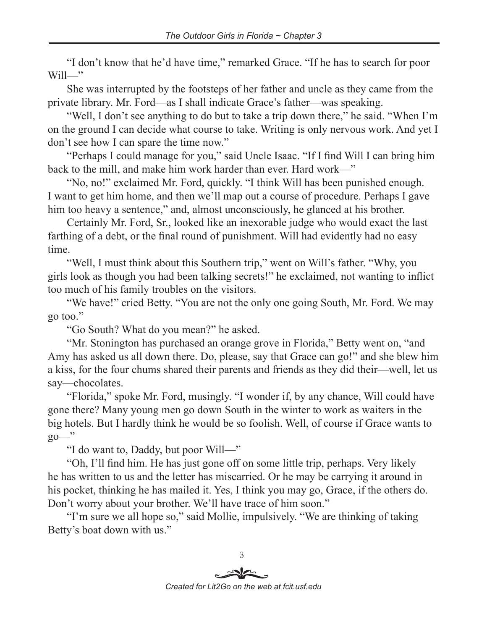"I don't know that he'd have time," remarked Grace. "If he has to search for poor  $Will$ -"

She was interrupted by the footsteps of her father and uncle as they came from the private library. Mr. Ford—as I shall indicate Grace's father—was speaking.

"Well, I don't see anything to do but to take a trip down there," he said. "When I'm on the ground I can decide what course to take. Writing is only nervous work. And yet I don't see how I can spare the time now."

"Perhaps I could manage for you," said Uncle Isaac. "If I find Will I can bring him back to the mill, and make him work harder than ever. Hard work—"

"No, no!" exclaimed Mr. Ford, quickly. "I think Will has been punished enough. I want to get him home, and then we'll map out a course of procedure. Perhaps I gave him too heavy a sentence," and, almost unconsciously, he glanced at his brother.

Certainly Mr. Ford, Sr., looked like an inexorable judge who would exact the last farthing of a debt, or the final round of punishment. Will had evidently had no easy time.

"Well, I must think about this Southern trip," went on Will's father. "Why, you girls look as though you had been talking secrets!" he exclaimed, not wanting to inflict too much of his family troubles on the visitors.

"We have!" cried Betty. "You are not the only one going South, Mr. Ford. We may go too."

"Go South? What do you mean?" he asked.

"Mr. Stonington has purchased an orange grove in Florida," Betty went on, "and Amy has asked us all down there. Do, please, say that Grace can go!" and she blew him a kiss, for the four chums shared their parents and friends as they did their—well, let us say—chocolates.

"Florida," spoke Mr. Ford, musingly. "I wonder if, by any chance, Will could have gone there? Many young men go down South in the winter to work as waiters in the big hotels. But I hardly think he would be so foolish. Well, of course if Grace wants to go—"

"I do want to, Daddy, but poor Will—"

"Oh, I'll find him. He has just gone off on some little trip, perhaps. Very likely he has written to us and the letter has miscarried. Or he may be carrying it around in his pocket, thinking he has mailed it. Yes, I think you may go, Grace, if the others do. Don't worry about your brother. We'll have trace of him soon."

"I'm sure we all hope so," said Mollie, impulsively. "We are thinking of taking Betty's boat down with us."